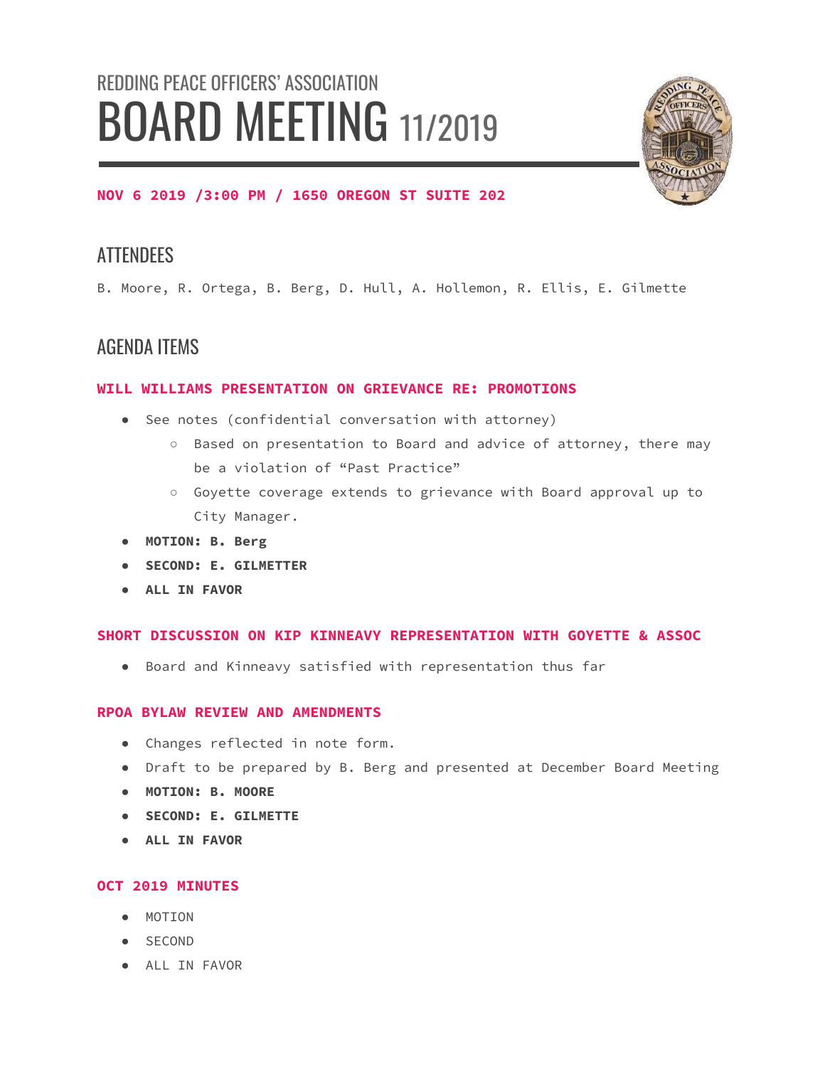# REDDING PEACE OFFICERS' ASSOCIATION BOARD MEETING 11/2019



## **NOV 6 2019 /3:00 PM / 1650 OREGON ST SUITE 202**

# **ATTENDEES**

B. Moore, R. Ortega, B. Berg, D. Hull, A. Hollemon, R. Ellis, E. Gilmette

# AGENDA ITEMS

## **WILL WILLIAMS PRESENTATION ON GRIEVANCE RE: PROMOTIONS**

- See notes (confidential conversation with attorney)
	- Based on presentation to Board and advice of attorney, there may be a violation of "Past Practice"
	- Goyette coverage extends to grievance with Board approval up to City Manager.
- **● MOTION: B. Berg**
- **● SECOND: E. GILMETTER**
- **● ALL IN FAVOR**

#### **SHORT DISCUSSION ON KIP KINNEAVY REPRESENTATION WITH GOYETTE & ASSOC**

● Board and Kinneavy satisfied with representation thus far

#### **RPOA BYLAW REVIEW AND AMENDMENTS**

- Changes reflected in note form.
- Draft to be prepared by B. Berg and presented at December Board Meeting
- **● MOTION: B. MOORE**
- **● SECOND: E. GILMETTE**
- **● ALL IN FAVOR**

## **OCT 2019 MINUTES**

- MOTION
- SECOND
- ALL IN FAVOR